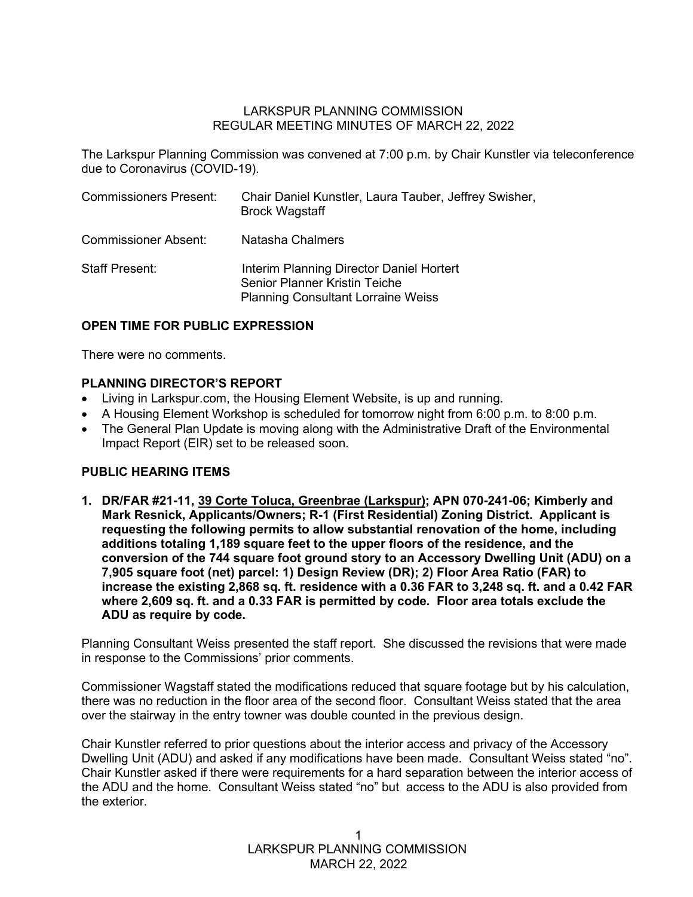## LARKSPUR PLANNING COMMISSION REGULAR MEETING MINUTES OF MARCH 22, 2022

The Larkspur Planning Commission was convened at 7:00 p.m. by Chair Kunstler via teleconference due to Coronavirus (COVID-19).

| <b>Commissioners Present:</b> | Chair Daniel Kunstler, Laura Tauber, Jeffrey Swisher,<br><b>Brock Wagstaff</b>                                                |
|-------------------------------|-------------------------------------------------------------------------------------------------------------------------------|
| <b>Commissioner Absent:</b>   | Natasha Chalmers                                                                                                              |
| <b>Staff Present:</b>         | Interim Planning Director Daniel Hortert<br><b>Senior Planner Kristin Teiche</b><br><b>Planning Consultant Lorraine Weiss</b> |

# **OPEN TIME FOR PUBLIC EXPRESSION**

There were no comments.

## **PLANNING DIRECTOR'S REPORT**

- Living in Larkspur.com, the Housing Element Website, is up and running.
- A Housing Element Workshop is scheduled for tomorrow night from 6:00 p.m. to 8:00 p.m.
- The General Plan Update is moving along with the Administrative Draft of the Environmental Impact Report (EIR) set to be released soon.

### **PUBLIC HEARING ITEMS**

**1. DR/FAR #21-11, 39 Corte Toluca, Greenbrae (Larkspur); APN 070-241-06; Kimberly and Mark Resnick, Applicants/Owners; R-1 (First Residential) Zoning District. Applicant is requesting the following permits to allow substantial renovation of the home, including additions totaling 1,189 square feet to the upper floors of the residence, and the conversion of the 744 square foot ground story to an Accessory Dwelling Unit (ADU) on a 7,905 square foot (net) parcel: 1) Design Review (DR); 2) Floor Area Ratio (FAR) to increase the existing 2,868 sq. ft. residence with a 0.36 FAR to 3,248 sq. ft. and a 0.42 FAR where 2,609 sq. ft. and a 0.33 FAR is permitted by code. Floor area totals exclude the ADU as require by code.**

Planning Consultant Weiss presented the staff report. She discussed the revisions that were made in response to the Commissions' prior comments.

Commissioner Wagstaff stated the modifications reduced that square footage but by his calculation, there was no reduction in the floor area of the second floor. Consultant Weiss stated that the area over the stairway in the entry towner was double counted in the previous design.

Chair Kunstler referred to prior questions about the interior access and privacy of the Accessory Dwelling Unit (ADU) and asked if any modifications have been made. Consultant Weiss stated "no". Chair Kunstler asked if there were requirements for a hard separation between the interior access of the ADU and the home. Consultant Weiss stated "no" but access to the ADU is also provided from the exterior.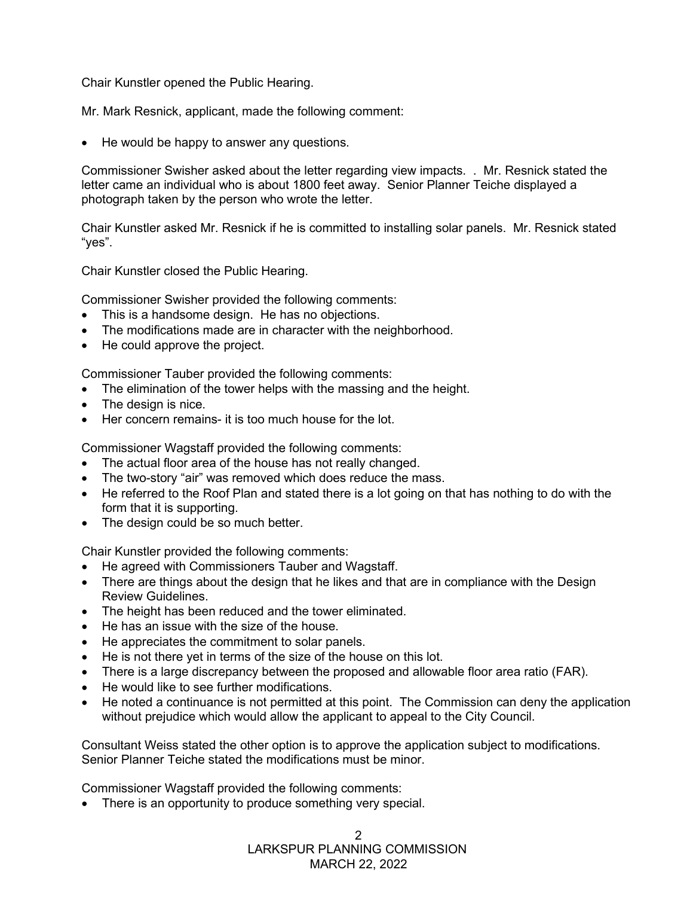Chair Kunstler opened the Public Hearing.

Mr. Mark Resnick, applicant, made the following comment:

• He would be happy to answer any questions.

Commissioner Swisher asked about the letter regarding view impacts. . Mr. Resnick stated the letter came an individual who is about 1800 feet away. Senior Planner Teiche displayed a photograph taken by the person who wrote the letter.

Chair Kunstler asked Mr. Resnick if he is committed to installing solar panels. Mr. Resnick stated "yes".

Chair Kunstler closed the Public Hearing.

Commissioner Swisher provided the following comments:

- This is a handsome design. He has no objections.
- The modifications made are in character with the neighborhood.
- He could approve the project.

Commissioner Tauber provided the following comments:

- The elimination of the tower helps with the massing and the height.
- The design is nice.
- Her concern remains- it is too much house for the lot.

Commissioner Wagstaff provided the following comments:

- The actual floor area of the house has not really changed.
- The two-story "air" was removed which does reduce the mass.
- He referred to the Roof Plan and stated there is a lot going on that has nothing to do with the form that it is supporting.
- The design could be so much better.

Chair Kunstler provided the following comments:

- He agreed with Commissioners Tauber and Wagstaff.
- There are things about the design that he likes and that are in compliance with the Design Review Guidelines.
- The height has been reduced and the tower eliminated.
- He has an issue with the size of the house.
- He appreciates the commitment to solar panels.
- He is not there yet in terms of the size of the house on this lot.
- There is a large discrepancy between the proposed and allowable floor area ratio (FAR).
- He would like to see further modifications.
- He noted a continuance is not permitted at this point. The Commission can deny the application without prejudice which would allow the applicant to appeal to the City Council.

Consultant Weiss stated the other option is to approve the application subject to modifications. Senior Planner Teiche stated the modifications must be minor.

Commissioner Wagstaff provided the following comments:

• There is an opportunity to produce something very special.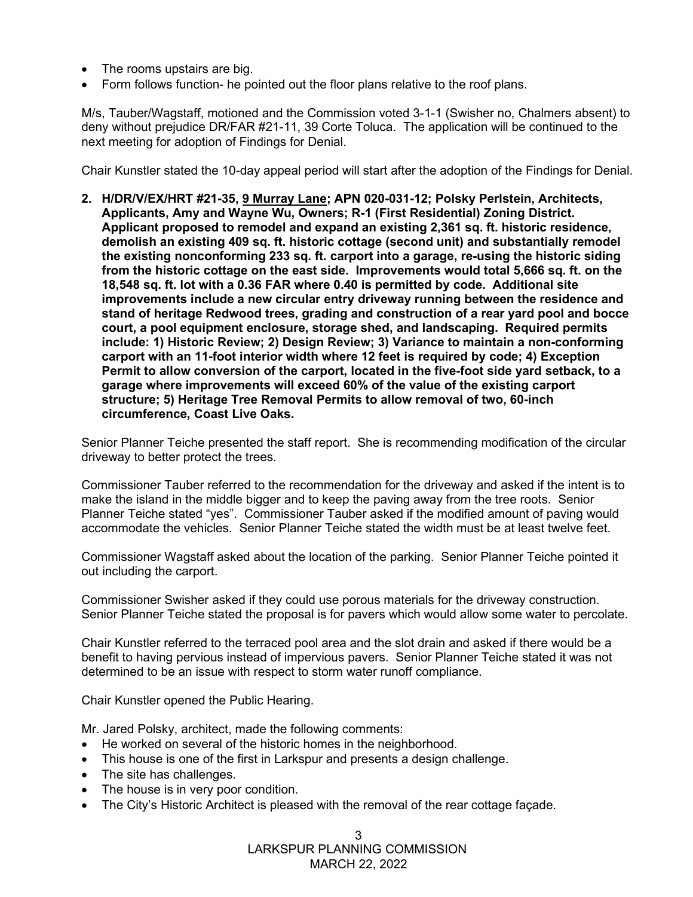- The rooms upstairs are big.
- Form follows function- he pointed out the floor plans relative to the roof plans.

M/s, Tauber/Wagstaff, motioned and the Commission voted 3-1-1 (Swisher no, Chalmers absent) to deny without prejudice DR/FAR #21-11, 39 Corte Toluca. The application will be continued to the next meeting for adoption of Findings for Denial.

Chair Kunstler stated the 10-day appeal period will start after the adoption of the Findings for Denial.

**2. H/DR/V/EX/HRT #21-35, 9 Murray Lane; APN 020-031-12; Polsky Perlstein, Architects, Applicants, Amy and Wayne Wu, Owners; R-1 (First Residential) Zoning District. Applicant proposed to remodel and expand an existing 2,361 sq. ft. historic residence, demolish an existing 409 sq. ft. historic cottage (second unit) and substantially remodel the existing nonconforming 233 sq. ft. carport into a garage, re-using the historic siding from the historic cottage on the east side. Improvements would total 5,666 sq. ft. on the 18,548 sq. ft. lot with a 0.36 FAR where 0.40 is permitted by code. Additional site improvements include a new circular entry driveway running between the residence and stand of heritage Redwood trees, grading and construction of a rear yard pool and bocce court, a pool equipment enclosure, storage shed, and landscaping. Required permits include: 1) Historic Review; 2) Design Review; 3) Variance to maintain a non-conforming carport with an 11-foot interior width where 12 feet is required by code; 4) Exception Permit to allow conversion of the carport, located in the five-foot side yard setback, to a garage where improvements will exceed 60% of the value of the existing carport structure; 5) Heritage Tree Removal Permits to allow removal of two, 60-inch circumference, Coast Live Oaks.** 

Senior Planner Teiche presented the staff report. She is recommending modification of the circular driveway to better protect the trees.

Commissioner Tauber referred to the recommendation for the driveway and asked if the intent is to make the island in the middle bigger and to keep the paying away from the tree roots. Senior Planner Teiche stated "yes". Commissioner Tauber asked if the modified amount of paving would accommodate the vehicles. Senior Planner Teiche stated the width must be at least twelve feet.

Commissioner Wagstaff asked about the location of the parking. Senior Planner Teiche pointed it out including the carport.

Commissioner Swisher asked if they could use porous materials for the driveway construction. Senior Planner Teiche stated the proposal is for pavers which would allow some water to percolate.

Chair Kunstler referred to the terraced pool area and the slot drain and asked if there would be a benefit to having pervious instead of impervious pavers. Senior Planner Teiche stated it was not determined to be an issue with respect to storm water runoff compliance.

Chair Kunstler opened the Public Hearing.

Mr. Jared Polsky, architect, made the following comments:

- He worked on several of the historic homes in the neighborhood.
- This house is one of the first in Larkspur and presents a design challenge.
- The site has challenges.
- The house is in very poor condition.
- The City's Historic Architect is pleased with the removal of the rear cottage façade.

 LARKSPUR PLANNING COMMISSION MARCH 22, 2022 3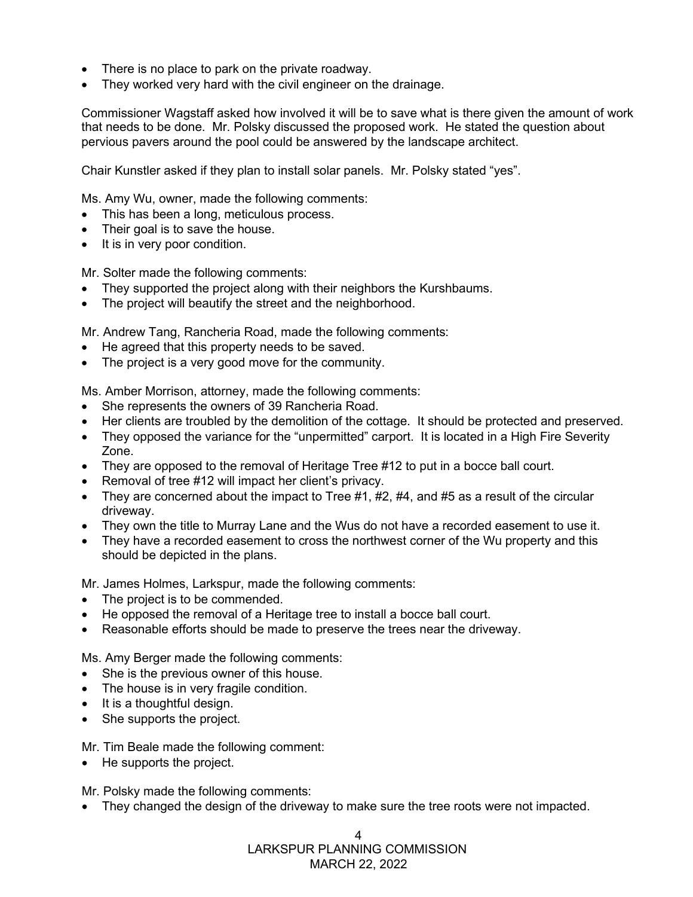- There is no place to park on the private roadway.
- They worked very hard with the civil engineer on the drainage.

Commissioner Wagstaff asked how involved it will be to save what is there given the amount of work that needs to be done. Mr. Polsky discussed the proposed work. He stated the question about pervious pavers around the pool could be answered by the landscape architect.

Chair Kunstler asked if they plan to install solar panels. Mr. Polsky stated "yes".

Ms. Amy Wu, owner, made the following comments:

- This has been a long, meticulous process.
- Their goal is to save the house.
- It is in very poor condition.

Mr. Solter made the following comments:

- They supported the project along with their neighbors the Kurshbaums.
- The project will beautify the street and the neighborhood.

Mr. Andrew Tang, Rancheria Road, made the following comments:

- He agreed that this property needs to be saved.
- The project is a very good move for the community.

Ms. Amber Morrison, attorney, made the following comments:

- She represents the owners of 39 Rancheria Road.
- Her clients are troubled by the demolition of the cottage. It should be protected and preserved.
- They opposed the variance for the "unpermitted" carport. It is located in a High Fire Severity Zone.
- They are opposed to the removal of Heritage Tree #12 to put in a bocce ball court.
- Removal of tree #12 will impact her client's privacy.
- They are concerned about the impact to Tree  $#1, #2, #4,$  and  $#5$  as a result of the circular driveway.
- They own the title to Murray Lane and the Wus do not have a recorded easement to use it.
- They have a recorded easement to cross the northwest corner of the Wu property and this should be depicted in the plans.

Mr. James Holmes, Larkspur, made the following comments:

- The project is to be commended.
- He opposed the removal of a Heritage tree to install a bocce ball court.
- Reasonable efforts should be made to preserve the trees near the driveway.

Ms. Amy Berger made the following comments:

- She is the previous owner of this house.
- The house is in very fragile condition.
- It is a thoughtful design.
- She supports the project.

Mr. Tim Beale made the following comment:

• He supports the project.

Mr. Polsky made the following comments:

• They changed the design of the driveway to make sure the tree roots were not impacted.

4

 LARKSPUR PLANNING COMMISSION MARCH 22, 2022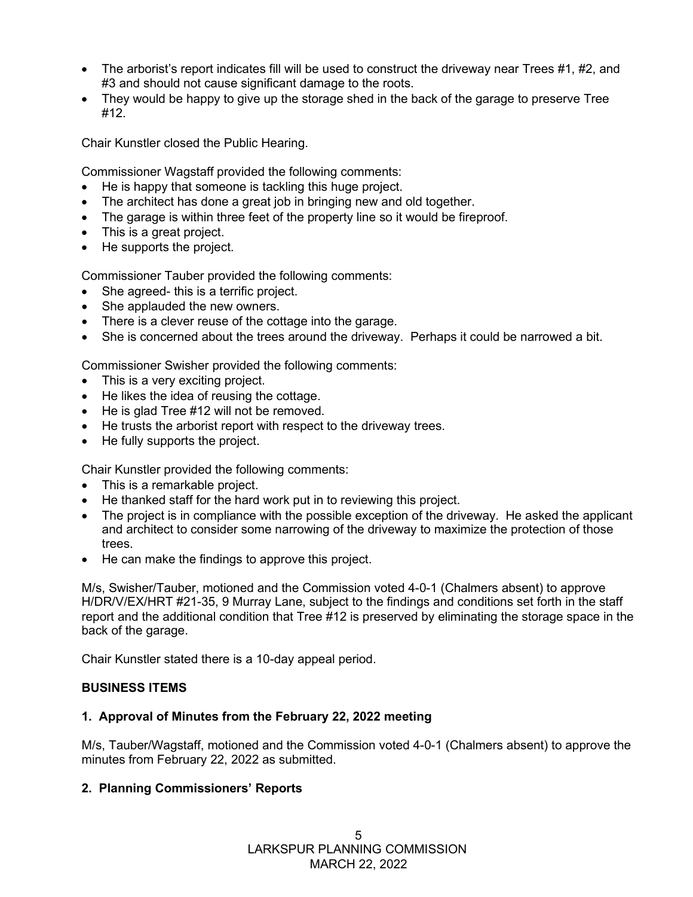- The arborist's report indicates fill will be used to construct the driveway near Trees #1, #2, and #3 and should not cause significant damage to the roots.
- They would be happy to give up the storage shed in the back of the garage to preserve Tree #12.

Chair Kunstler closed the Public Hearing.

Commissioner Wagstaff provided the following comments:

- He is happy that someone is tackling this huge project.
- The architect has done a great job in bringing new and old together.
- The garage is within three feet of the property line so it would be fireproof.
- This is a great project.
- He supports the project.

Commissioner Tauber provided the following comments:

- She agreed- this is a terrific project.
- She applauded the new owners.
- There is a clever reuse of the cottage into the garage.
- She is concerned about the trees around the driveway. Perhaps it could be narrowed a bit.

Commissioner Swisher provided the following comments:

- This is a very exciting project.
- He likes the idea of reusing the cottage.
- He is glad Tree #12 will not be removed.
- He trusts the arborist report with respect to the driveway trees.
- He fully supports the project.

Chair Kunstler provided the following comments:

- This is a remarkable project.
- He thanked staff for the hard work put in to reviewing this project.
- The project is in compliance with the possible exception of the driveway. He asked the applicant and architect to consider some narrowing of the driveway to maximize the protection of those trees.
- He can make the findings to approve this project.

M/s, Swisher/Tauber, motioned and the Commission voted 4-0-1 (Chalmers absent) to approve H/DR/V/EX/HRT #21-35, 9 Murray Lane, subject to the findings and conditions set forth in the staff report and the additional condition that Tree #12 is preserved by eliminating the storage space in the back of the garage.

Chair Kunstler stated there is a 10-day appeal period.

# **BUSINESS ITEMS**

# **1. Approval of Minutes from the February 22, 2022 meeting**

M/s, Tauber/Wagstaff, motioned and the Commission voted 4-0-1 (Chalmers absent) to approve the minutes from February 22, 2022 as submitted.

# **2. Planning Commissioners' Reports**